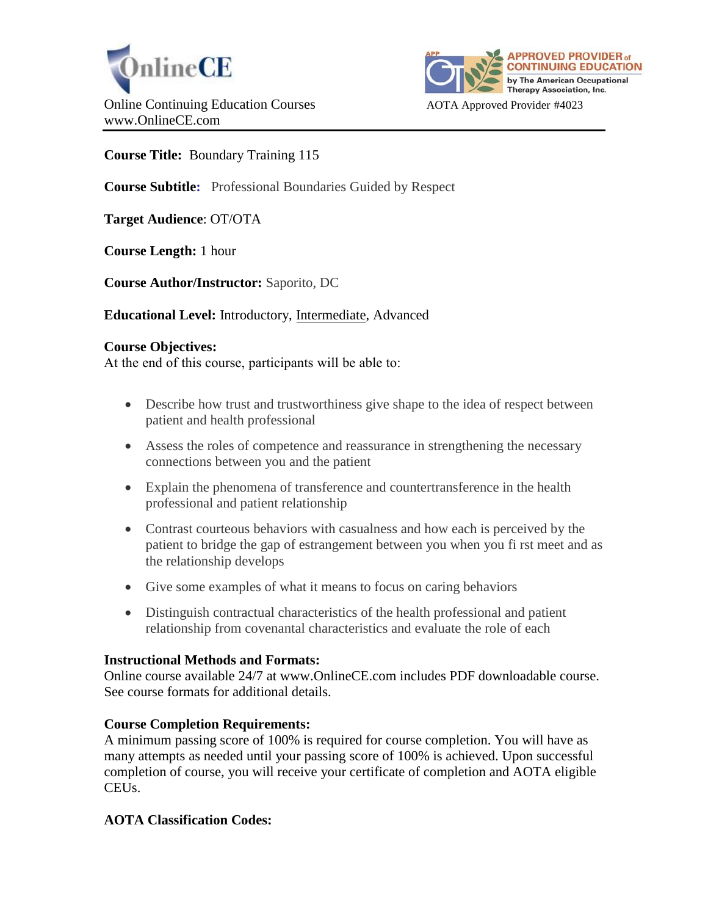



## **Course Title:** Boundary Training 115

**Course Subtitle:** Professional Boundaries Guided by Respect

**Target Audience**: OT/OTA

**Course Length:** 1 hour

**Course Author/Instructor:** Saporito, DC

**Educational Level:** Introductory, Intermediate, Advanced

### **Course Objectives:**

At the end of this course, participants will be able to:

- Describe how trust and trustworthiness give shape to the idea of respect between patient and health professional
- Assess the roles of competence and reassurance in strengthening the necessary connections between you and the patient
- Explain the phenomena of transference and countertransference in the health professional and patient relationship
- Contrast courteous behaviors with casualness and how each is perceived by the patient to bridge the gap of estrangement between you when you fi rst meet and as the relationship develops
- Give some examples of what it means to focus on caring behaviors
- Distinguish contractual characteristics of the health professional and patient relationship from covenantal characteristics and evaluate the role of each

### **Instructional Methods and Formats:**

Online course available 24/7 at www.OnlineCE.com includes PDF downloadable course. See course formats for additional details.

### **Course Completion Requirements:**

A minimum passing score of 100% is required for course completion. You will have as many attempts as needed until your passing score of 100% is achieved. Upon successful completion of course, you will receive your certificate of completion and AOTA eligible CEUs.

### **AOTA Classification Codes:**